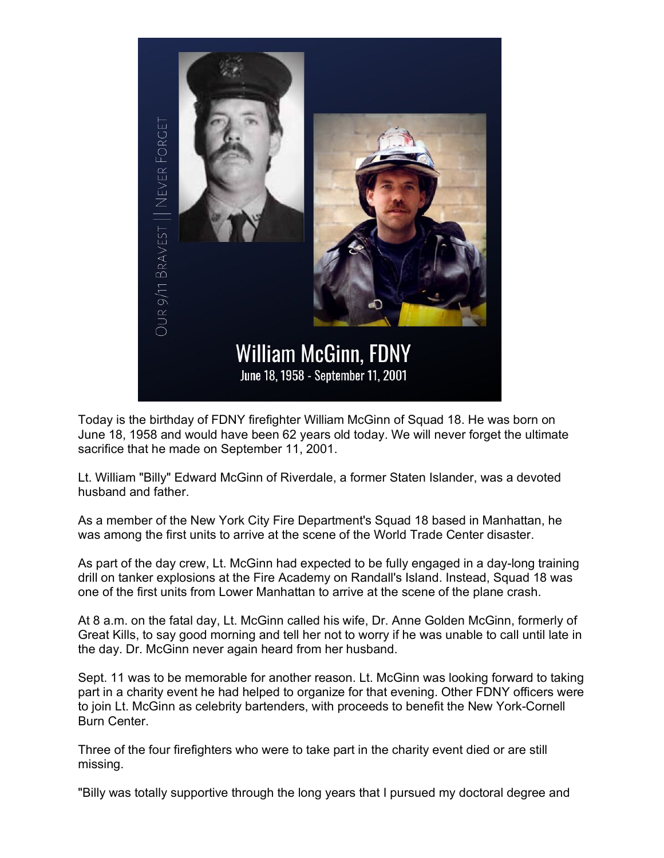

Today is the birthday of FDNY firefighter William McGinn of Squad 18. He was born on June 18, 1958 and would have been 62 years old today. We will never forget the ultimate sacrifice that he made on September 11, 2001.

Lt. William "Billy" Edward McGinn of Riverdale, a former Staten Islander, was a devoted husband and father.

As a member of the New York City Fire Department's Squad 18 based in Manhattan, he was among the first units to arrive at the scene of the World Trade Center disaster.

As part of the day crew, Lt. McGinn had expected to be fully engaged in a day-long training drill on tanker explosions at the Fire Academy on Randall's Island. Instead, Squad 18 was one of the first units from Lower Manhattan to arrive at the scene of the plane crash.

At 8 a.m. on the fatal day, Lt. McGinn called his wife, Dr. Anne Golden McGinn, formerly of Great Kills, to say good morning and tell her not to worry if he was unable to call until late in the day. Dr. McGinn never again heard from her husband.

Sept. 11 was to be memorable for another reason. Lt. McGinn was looking forward to taking part in a charity event he had helped to organize for that evening. Other FDNY officers were to join Lt. McGinn as celebrity bartenders, with proceeds to benefit the New York-Cornell Burn Center.

Three of the four firefighters who were to take part in the charity event died or are still missing.

"Billy was totally supportive through the long years that I pursued my doctoral degree and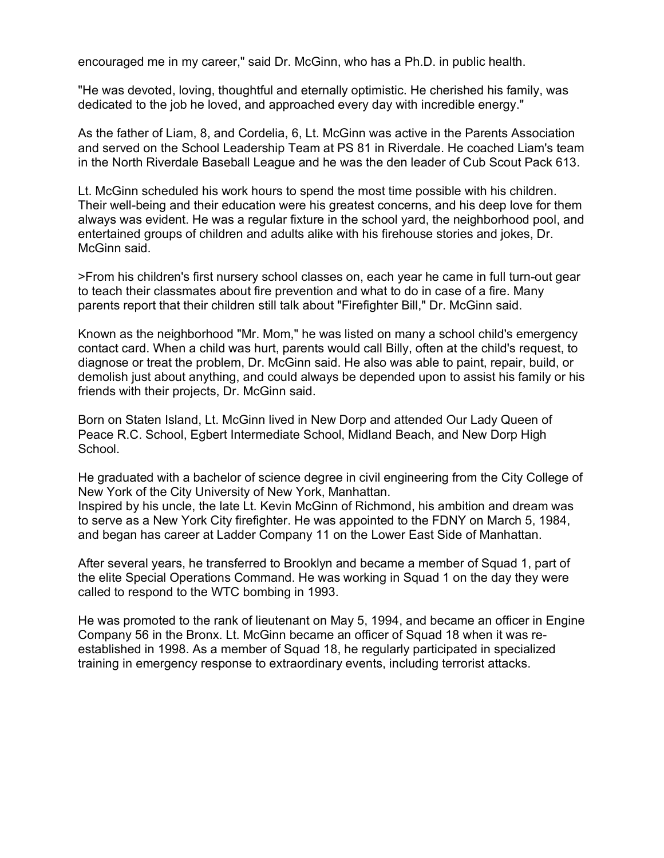encouraged me in my career," said Dr. McGinn, who has a Ph.D. in public health.

"He was devoted, loving, thoughtful and eternally optimistic. He cherished his family, was dedicated to the job he loved, and approached every day with incredible energy."

As the father of Liam, 8, and Cordelia, 6, Lt. McGinn was active in the Parents Association and served on the School Leadership Team at PS 81 in Riverdale. He coached Liam's team in the North Riverdale Baseball League and he was the den leader of Cub Scout Pack 613.

Lt. McGinn scheduled his work hours to spend the most time possible with his children. Their well-being and their education were his greatest concerns, and his deep love for them always was evident. He was a regular fixture in the school yard, the neighborhood pool, and entertained groups of children and adults alike with his firehouse stories and jokes, Dr. McGinn said.

>From his children's first nursery school classes on, each year he came in full turn-out gear to teach their classmates about fire prevention and what to do in case of a fire. Many parents report that their children still talk about "Firefighter Bill," Dr. McGinn said.

Known as the neighborhood "Mr. Mom," he was listed on many a school child's emergency contact card. When a child was hurt, parents would call Billy, often at the child's request, to diagnose or treat the problem, Dr. McGinn said. He also was able to paint, repair, build, or demolish just about anything, and could always be depended upon to assist his family or his friends with their projects, Dr. McGinn said.

Born on Staten Island, Lt. McGinn lived in New Dorp and attended Our Lady Queen of Peace R.C. School, Egbert Intermediate School, Midland Beach, and New Dorp High School.

He graduated with a bachelor of science degree in civil engineering from the City College of New York of the City University of New York, Manhattan.

Inspired by his uncle, the late Lt. Kevin McGinn of Richmond, his ambition and dream was to serve as a New York City firefighter. He was appointed to the FDNY on March 5, 1984, and began has career at Ladder Company 11 on the Lower East Side of Manhattan.

After several years, he transferred to Brooklyn and became a member of Squad 1, part of the elite Special Operations Command. He was working in Squad 1 on the day they were called to respond to the WTC bombing in 1993.

He was promoted to the rank of lieutenant on May 5, 1994, and became an officer in Engine Company 56 in the Bronx. Lt. McGinn became an officer of Squad 18 when it was reestablished in 1998. As a member of Squad 18, he regularly participated in specialized training in emergency response to extraordinary events, including terrorist attacks.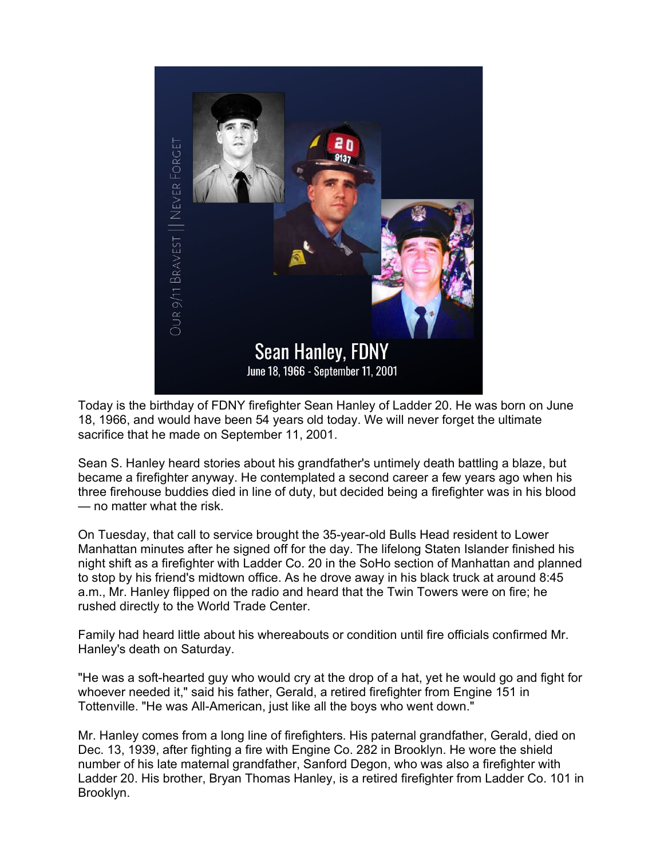

Today is the birthday of FDNY firefighter Sean Hanley of Ladder 20. He was born on June 18, 1966, and would have been 54 years old today. We will never forget the ultimate sacrifice that he made on September 11, 2001.

Sean S. Hanley heard stories about his grandfather's untimely death battling a blaze, but became a firefighter anyway. He contemplated a second career a few years ago when his three firehouse buddies died in line of duty, but decided being a firefighter was in his blood — no matter what the risk.

On Tuesday, that call to service brought the 35-year-old Bulls Head resident to Lower Manhattan minutes after he signed off for the day. The lifelong Staten Islander finished his night shift as a firefighter with Ladder Co. 20 in the SoHo section of Manhattan and planned to stop by his friend's midtown office. As he drove away in his black truck at around 8:45 a.m., Mr. Hanley flipped on the radio and heard that the Twin Towers were on fire; he rushed directly to the World Trade Center.

Family had heard little about his whereabouts or condition until fire officials confirmed Mr. Hanley's death on Saturday.

"He was a soft-hearted guy who would cry at the drop of a hat, yet he would go and fight for whoever needed it," said his father, Gerald, a retired firefighter from Engine 151 in Tottenville. "He was All-American, just like all the boys who went down."

Mr. Hanley comes from a long line of firefighters. His paternal grandfather, Gerald, died on Dec. 13, 1939, after fighting a fire with Engine Co. 282 in Brooklyn. He wore the shield number of his late maternal grandfather, Sanford Degon, who was also a firefighter with Ladder 20. His brother, Bryan Thomas Hanley, is a retired firefighter from Ladder Co. 101 in Brooklyn.